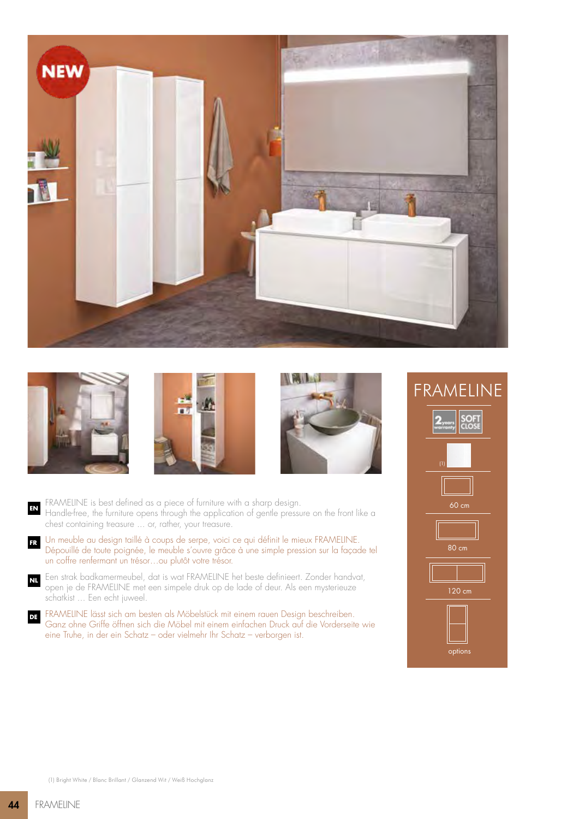







- FRAMELINE is best defined as a piece of furniture with a sharp design. Handle-free, the furniture opens through the application of gentle pressure on the front like a chest containing treasure ... or, rather, your treasure. **EN**
- Un meuble au design taillé à coups de serpe, voici ce qui définit le mieux FRAMELINE. Dépouillé de toute poignée, le meuble s'ouvre grâce à une simple pression sur la façade tel un coffre renfermant un trésor…ou plutôt votre trésor. **FR**
- Een strak badkamermeubel, dat is wat FRAMELINE het beste definieert. Zonder handvat, open je de FRAMELINE met een simpele druk op de lade of deur. Als een mysterieuze schatkist ... Een echt juweel. **NL**
- FRAMELINE lässt sich am besten als Möbelstück mit einem rauen Design beschreiben. Ganz ohne Griffe öffnen sich die Möbel mit einem einfachen Druck auf die Vorderseite wie eine Truhe, in der ein Schatz – oder vielmehr Ihr Schatz – verborgen ist. **DE**

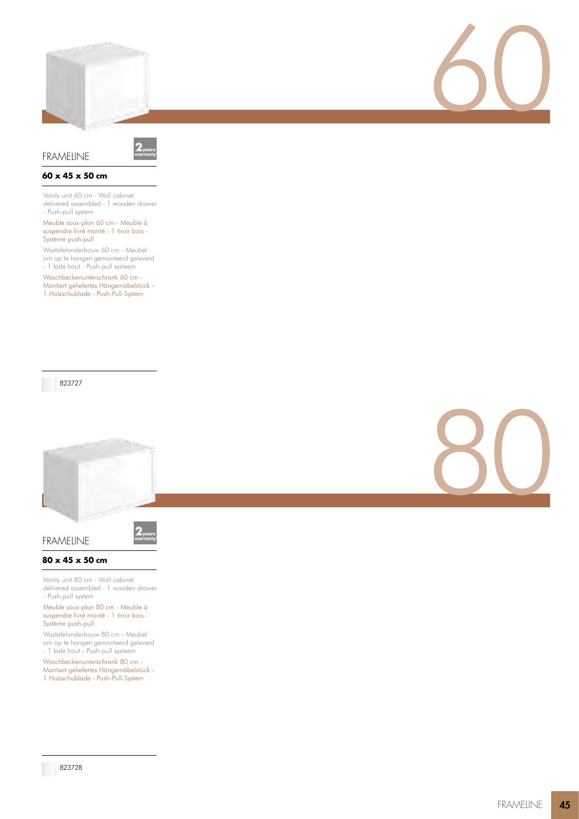



# **60 x 45 x 50 cm**

Vanity unit 60 cm - Wall cabinet delivered assembled - 1 wooden drawer - Push-pull system

#### Meuble sous-plan 60 cm - Meuble à suspendre livré monté - 1 tiroir bois - Système push-pull

Wastafelonderbouw 60 cm - Meubel om op te hangen gemonteerd geleverd - 1 lade hout - Push-pull systeem

Waschbeckenunterschrank 60 cm -Montiert geliefertes Hängemöbelstück - 1 Holzschublade - Push-Pull-System

823727



FRAMELINE

## **80 x 45 x 50 cm**

Vanity unit 80 cm - Wall cabinet delivered assembled - 1 wooden drawer - Push-pull system

Meuble sous-plan 80 cm - Meuble à suspendre livré monté - 1 tiroir bois - Système push-pull

Wastafelonderbouw 80 cm - Meubel om op te hangen gemonteerd geleverd - 1 lade hout - Push-pull systeem

Waschbeckenunterschrank 80 cm - Montiert geliefertes Hängemöbelstück - 1 Holzschublade - Push-Pull-System



60